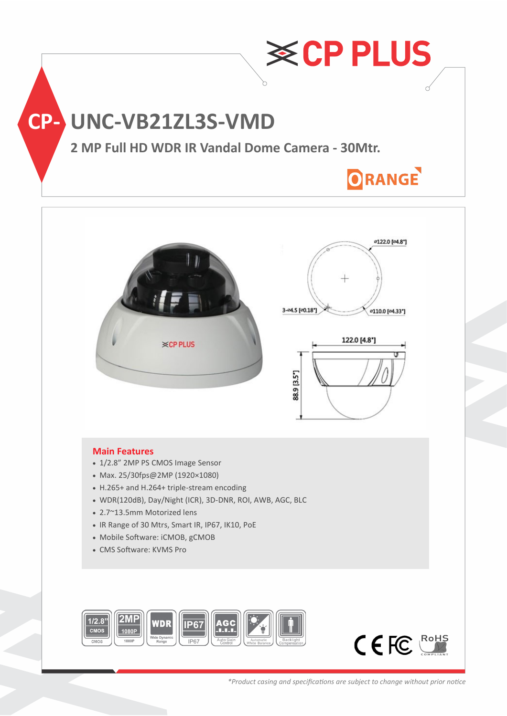



## **Main Features**

- 1/2.8" 2MP PS CMOS Image Sensor
- Max. 25/30fps@2MP (1920×1080)
- H.265+ and H.264+ triple-stream encoding
- WDR(120dB), Day/Night (ICR), 3D-DNR, ROI, AWB, AGC, BLC
- 2.7~13.5mm Motorized lens
- IR Range of 30 Mtrs, Smart IR, IP67, IK10, PoE
- Mobile Software: iCMOB, gCMOB
- CMS Software: KVMS Pro



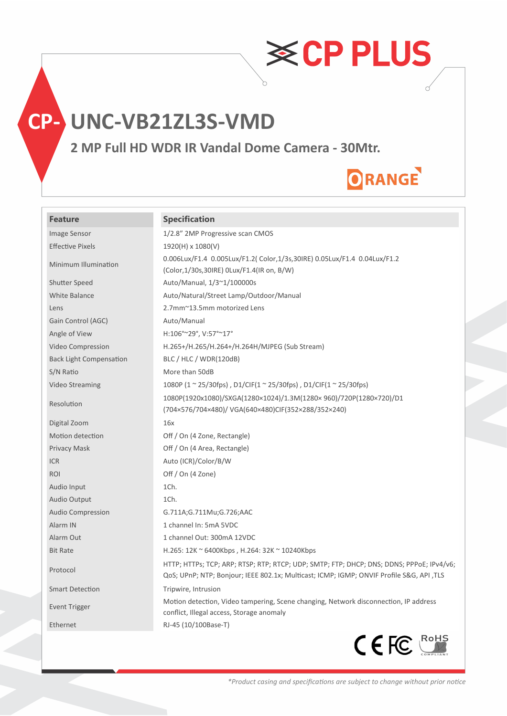**CP- UNC-VB21ZL3S-VMD**

**2 MP Full HD WDR IR Vandal Dome Camera - 30Mtr.**

# ORANGE

**≋CPPLUS** 

## **Feature Specification**

| Image Sensor                   | 1/2.8" 2MP Progressive scan CMOS                                                                                                                                                     |
|--------------------------------|--------------------------------------------------------------------------------------------------------------------------------------------------------------------------------------|
| <b>Effective Pixels</b>        | 1920(H) x 1080(V)                                                                                                                                                                    |
| Minimum Illumination           | 0.006Lux/F1.4 0.005Lux/F1.2( Color,1/3s,30IRE) 0.05Lux/F1.4 0.04Lux/F1.2<br>(Color, 1/30s, 30IRE) 0Lux/F1.4(IR on, B/W)                                                              |
| <b>Shutter Speed</b>           | Auto/Manual, 1/3~1/100000s                                                                                                                                                           |
| <b>White Balance</b>           | Auto/Natural/Street Lamp/Outdoor/Manual                                                                                                                                              |
| Lens                           | 2.7mm~13.5mm motorized Lens                                                                                                                                                          |
| Gain Control (AGC)             | Auto/Manual                                                                                                                                                                          |
| Angle of View                  | H:106°~29°, V:57°~17°                                                                                                                                                                |
| Video Compression              | H.265+/H.265/H.264+/H.264H/MJPEG (Sub Stream)                                                                                                                                        |
| <b>Back Light Compensation</b> | BLC / HLC / WDR(120dB)                                                                                                                                                               |
| S/N Ratio                      | More than 50dB                                                                                                                                                                       |
| Video Streaming                | 1080P (1 $\sim$ 25/30fps), D1/CIF(1 $\sim$ 25/30fps), D1/CIF(1 $\sim$ 25/30fps)                                                                                                      |
| Resolution                     | 1080P(1920x1080)/SXGA(1280×1024)/1.3M(1280×960)/720P(1280×720)/D1<br>(704×576/704×480)/ VGA(640×480)CIF(352×288/352×240)                                                             |
| Digital Zoom                   | 16x                                                                                                                                                                                  |
| Motion detection               | Off / On (4 Zone, Rectangle)                                                                                                                                                         |
| Privacy Mask                   | Off / On (4 Area, Rectangle)                                                                                                                                                         |
| <b>ICR</b>                     | Auto (ICR)/Color/B/W                                                                                                                                                                 |
| ROI                            | Off / On (4 Zone)                                                                                                                                                                    |
| Audio Input                    | 1Ch.                                                                                                                                                                                 |
| Audio Output                   | 1Ch.                                                                                                                                                                                 |
| <b>Audio Compression</b>       | G.711A;G.711Mu;G.726;AAC                                                                                                                                                             |
| Alarm IN                       | 1 channel In: 5mA 5VDC                                                                                                                                                               |
| Alarm Out                      | 1 channel Out: 300mA 12VDC                                                                                                                                                           |
| <b>Bit Rate</b>                | H.265: $12K \approx 6400Kbps$ , H.264: $32K \approx 10240Kbps$                                                                                                                       |
| Protocol                       | HTTP; HTTPs; TCP; ARP; RTSP; RTP; RTCP; UDP; SMTP; FTP; DHCP; DNS; DDNS; PPPOE; IPv4/v6;<br>QoS; UPnP; NTP; Bonjour; IEEE 802.1x; Multicast; ICMP; IGMP; ONVIF Profile S&G, API ,TLS |
| <b>Smart Detection</b>         | Tripwire, Intrusion                                                                                                                                                                  |
| Event Trigger                  | Motion detection, Video tampering, Scene changing, Network disconnection, IP address<br>conflict, Illegal access, Storage anomaly                                                    |
| Ethernet                       | RJ-45 (10/100Base-T)                                                                                                                                                                 |
|                                | C E FC                                                                                                                                                                               |